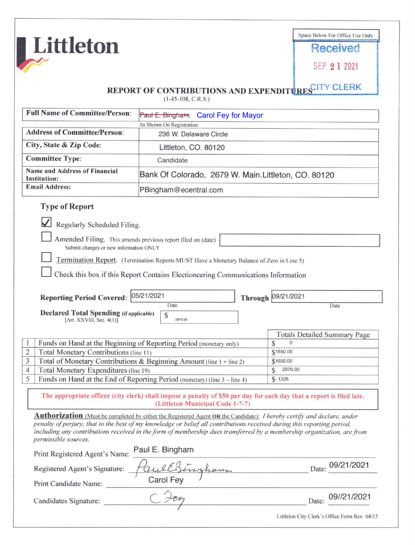|                                                                        |                                                                                                                                                                                                                                                                                                                                                                             |  | Space Below For Office Use Only                          |
|------------------------------------------------------------------------|-----------------------------------------------------------------------------------------------------------------------------------------------------------------------------------------------------------------------------------------------------------------------------------------------------------------------------------------------------------------------------|--|----------------------------------------------------------|
| Littleton                                                              |                                                                                                                                                                                                                                                                                                                                                                             |  | <b>Received</b>                                          |
|                                                                        |                                                                                                                                                                                                                                                                                                                                                                             |  | SEP 2 1 2021                                             |
|                                                                        | <b>REPORT OF CONTRIBUTIONS AND EXPENDIT</b><br>$(1-45-108, C.R.S.)$                                                                                                                                                                                                                                                                                                         |  | URESCITY CLERK                                           |
| <b>Full Name of Committee/Person:</b>                                  | Paul E. Bingham Carol Fey for Mayor                                                                                                                                                                                                                                                                                                                                         |  |                                                          |
| <b>Address of Committee/Person:</b>                                    | As Shown On Registration                                                                                                                                                                                                                                                                                                                                                    |  |                                                          |
|                                                                        | 236 W. Delaware Circle                                                                                                                                                                                                                                                                                                                                                      |  |                                                          |
| City, State & Zip Code:                                                | Littleton, CO. 80120                                                                                                                                                                                                                                                                                                                                                        |  |                                                          |
| <b>Committee Type:</b>                                                 | Candidate                                                                                                                                                                                                                                                                                                                                                                   |  |                                                          |
| <b>Name and Address of Financial</b><br>Institution:                   | Bank Of Colorado, 2679 W. Main. Littleton, CO. 80120                                                                                                                                                                                                                                                                                                                        |  |                                                          |
| <b>Email Address:</b>                                                  | PBingham@ecentral.com                                                                                                                                                                                                                                                                                                                                                       |  |                                                          |
| <b>Reporting Period Covered:</b>                                       | Check this box if this Report Contains Electioneering Communications Information<br>05/21/2021                                                                                                                                                                                                                                                                              |  | Through 09/21/2021<br>Date                               |
| <b>Declared Total Spending (if applicable)</b>                         | Date<br>\$                                                                                                                                                                                                                                                                                                                                                                  |  |                                                          |
| [Art. XXVIII, Sec. 4(1)]                                               | 2976.56                                                                                                                                                                                                                                                                                                                                                                     |  |                                                          |
|                                                                        | Funds on Hand at the Beginning of Reporting Period (monetary only)                                                                                                                                                                                                                                                                                                          |  | <b>Totals Detailed Summary Page</b><br>S<br>$\mathbf{0}$ |
| Total Monetary Contributions (line 11)                                 |                                                                                                                                                                                                                                                                                                                                                                             |  | \$1650.00                                                |
|                                                                        | Total of Monetary Contributions & Beginning Amount (line 1 + line 2)                                                                                                                                                                                                                                                                                                        |  | \$1650.00                                                |
| $\overline{c}$<br>3<br>Total Monetary Expenditures (line 19)<br>4<br>5 | Funds on Hand at the End of Reporting Period (monetary) (line 3 – line 4)                                                                                                                                                                                                                                                                                                   |  | S<br>2976.00<br>$$-1326.$                                |
|                                                                        | The appropriate officer (city clerk) shall impose a penalty of \$50 per day for each day that a report is filed late.<br>(Littleton Municipal Code 1-7-7)                                                                                                                                                                                                                   |  |                                                          |
| permissible sources.                                                   | Authorization (Must be completed by either the Registered Agent OR the Candidate): I hereby certify and declare, under<br>penalty of perjury, that to the best of my knowledge or belief all contributions received during this reporting period,<br>including any contributions received in the form of membership dues transferred by a membership organization, are from |  |                                                          |
| Print Registered Agent's Name:                                         | Paul E. Bingham                                                                                                                                                                                                                                                                                                                                                             |  |                                                          |
| Registered Agent's Signature:                                          |                                                                                                                                                                                                                                                                                                                                                                             |  | Date: 09/21/2021                                         |
| Print Candidate Name:                                                  | Caully                                                                                                                                                                                                                                                                                                                                                                      |  |                                                          |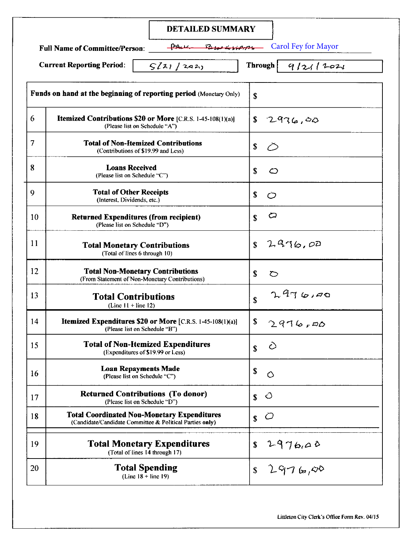|    | <b>DETAILED SUMMARY</b>                                                                                        |                                                     |
|----|----------------------------------------------------------------------------------------------------------------|-----------------------------------------------------|
|    | Blue Busines<br><b>Full Name of Committee/Person:</b><br><b>Current Reporting Period:</b><br>5221 / 242        | <b>Carol Fey for Mayor</b><br>Through  <br>9/211221 |
|    | Funds on hand at the beginning of reporting period (Monetary Only)                                             | \$                                                  |
| 6  | <b>Itemized Contributions \$20 or More</b> [C.R.S. 1-45-108(1)(a)]<br>(Please list on Schedule "A")            | \$<br>2976,00                                       |
| 7  | <b>Total of Non-Itemized Contributions</b><br>(Contributions of \$19.99 and Less)                              | \$<br>⊘                                             |
| 8  | <b>Loans Received</b><br>(Please list on Schedule "C")                                                         | \$<br>$\circ$                                       |
| 9  | <b>Total of Other Receipts</b><br>(Interest, Dividends, etc.)                                                  | \$<br>$\circ$                                       |
| 10 | <b>Returned Expenditures (from recipient)</b><br>(Please list on Schedule "D")                                 | O<br>\$                                             |
| 11 | <b>Total Monetary Contributions</b><br>(Total of lines 6 through 10)                                           | 2976,00<br>$\mathbf S$                              |
| 12 | <b>Total Non-Monetary Contributions</b><br>(From Statement of Non-Monetary Contributions)                      | \$<br>$\circ$                                       |
| 13 | <b>Total Contributions</b><br>(Line $11 +$ line 12)                                                            | 2976190<br>\$                                       |
| 14 | Itemized Expenditures \$20 or More [C.R.S. 1-45-108(1)(a)]<br>(Please list on Schedule "B")                    | \$<br>2976,00                                       |
| 15 | <b>Total of Non-Itemized Expenditures</b><br>(Expenditures of \$19.99 or Less)                                 | $\hat{O}$<br>\$                                     |
| 16 | <b>Loan Repayments Made</b><br>(Please list on Schedule "C")                                                   | \$<br>$\circ$                                       |
| 17 | <b>Returned Contributions (To donor)</b><br>(Please list on Schedule "D")                                      | ○<br>\$                                             |
| 18 | <b>Total Coordinated Non-Monetary Expenditures</b><br>(Candidate/Candidate Committee & Political Parties only) | $\mathcal{O}$<br>\$                                 |
| 19 | <b>Total Monetary Expenditures</b><br>(Total of lines 14 through 17)                                           | 2976,00<br>\$                                       |
| 20 | <b>Total Spending</b><br>$(Line 18 + line 19)$                                                                 | 2976,00<br>\$                                       |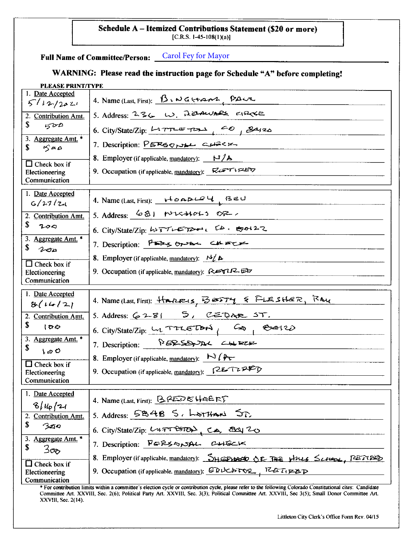## **Schedule A- Itemized Contributions Statement (\$20 or more)**   $[C.R.S. 1-45-108(1)(a)]$

**Full Name of Committee/Person:**  Carol Fey for Mayor

## **WARNING: Please read the instruction page for Schedule "A" before completing!**

## **PLEASE PRINT/TYPE** 1. Date Accepted  $\int \frac{\mu_{\text{max}}}{\sqrt{2\pi}}$  4. Name (Last, First):  $\int \mu_{\text{max}}$ , PA $\mu$ 2. Contribution Amt. 5. Address:  $236$  W. Researches cracke  $\frac{\$}{3. \text{ Aggreate Amt.}}$  6. City/State/Zip:  $\frac{\[1.777165.7011 \quad \] 60}{\$}$ ,  $\frac{\[2.4526.7011 \quad \] 60}{\$}$ 3. Aggregate Amt. \* 7. Description:  $\frac{PERSONAL}{PERSONAL}$  $\Box$  Check box if Electioneering **8. Employer** (if applicable, mandatory):  $\mathbb{N}/\mathbb{A}$ 9. Occupation (if applicable, mandatory):  $\nabla G$ Communication 1. Date Accepted ~/,\_,-Jlz..., 4. Name (Last, First): .-1-o-<.GY. r...au 2. Contribution Amt. 5. Address:  $68!$  tv- $68/2$ .  $\frac{\$}{}$  200 6. City/State/Zip:  $42\frac{7}{5}$  $\frac{3. \text{ Aggregation}}{3. \text{ Aggregation}}$  6. City/State/Zip:  $\frac{Lv\sqrt{1 - E\sqrt{2}}}{2. \text{ Description:}}$   $\frac{P E\ll 6. \text{ MeV}}{P E\ll 6. \text{ MeV}}$  $\Box$  Check box if **8. Employer** (if applicable, mandatory):  $N_{\ell}$ Electioneering 9. Occupation (if applicable, mandatory):  $R$  $17.57$ Communication I. Date Accepted  $\frac{1}{8(14/2)}$  4. Name (Last, First):  $\frac{1}{2}$ **BESTY** & FLESHER, RAY<br>2. Contribution Amt. 5. Address: 6281 5, CEDAR ST. 2. Contribution Amt. 5. Address:  $6281$   $5,$   $2202$   $5,$   $62$   $5,$   $7$  $\frac{1}{3}$ . Contribution Amt.<br>
3. Aggregate Amt.<br>
3. Aggregate Amt.<br>
3. Aggregate Amt.  $\frac{3. \text{ Aggregation Amt.}}{3. \text{ Aggregation:}}$  7. Description: PERSANAL CHERE  $L \otimes \mathcal{O}$  $\Box$  Check box if **8.** Employer (if applicable, mandatory):  $\forall$  ( $\forall$ + Electioneering 9. Occupation (if applicable, mandatory):  $\sqrt{2E\tau Z}$ Communication 1. Date Accepted 4. Name (Last, First): BREDE HAERT  $8/\mu_{\rm P}$  /2-f 4. Name (Last, First):  $\frac{8\mu_{p}}{2. \text{ contribution Amt.}}$  5. Address:  $\frac{5848}{5}$ ,  $\frac{1}{276}$  $300$ 6. City/State/Zip: /../4~ . C....,., ~'2-o . 3. Aggri;gate Amt. • 3. <u>BERESCRIPTION</u>: 7. Description: PERSSANAL CHECK  $\Box$  Check box if 8. Employer (if applicable, <u>mandatory</u>): SHEPURED OF THE HULL SCALOR, PETIPLED Electioneering 9. Occupation (if applicable. mandatory):  $\frac{dP\Delta P}{dt}$ ,  $\frac{dP\Delta P}{dt}$ <br>Communication

• For contribution limits within a committee's election cycle or contribution cycle, please refer to the following Colorado Constitutional cites: Candidate Committee Art. XXVIII, Sec. 2(6); PoliticaJ Party Art. XXVIII, Sec. 3(3}; Political Committee Art. XXVJII, Sec 3(5); Small Donor Committee Art. XXVIII, Sec. 2(14).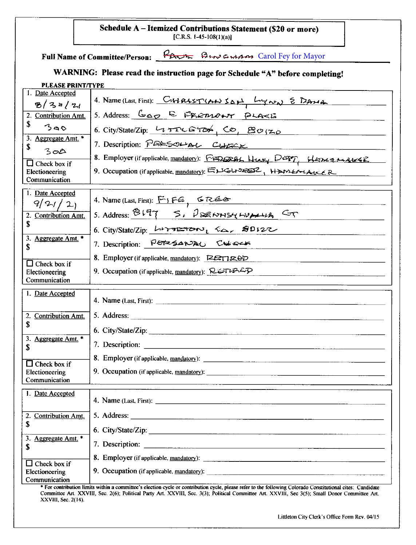|                                                                                                                     | Schedule A - Itemized Contributions Statement (\$20 or more)<br>[C.R.S. 1-45-108(1)(a)]                                                                                                                  |  |  |  |  |
|---------------------------------------------------------------------------------------------------------------------|----------------------------------------------------------------------------------------------------------------------------------------------------------------------------------------------------------|--|--|--|--|
| Full Name of Committee/Person: France BENGING Carol Fey for Mayor                                                   |                                                                                                                                                                                                          |  |  |  |  |
| WARNING: Please read the instruction page for Schedule "A" before completing!                                       |                                                                                                                                                                                                          |  |  |  |  |
| <b>PLEASE PRINT/TYPE</b><br>1. Date Accepted<br>8/34/21<br>2. Contribution Amt.<br>\$<br>300<br>3. Aggregate Amt. * | 4. Name (Last, First): CHZR45T(ANSON) LONGING<br>5. Address: GOD E FREMONT PLACE<br>6. City/State/Zip: 43526500 CO, 80120                                                                                |  |  |  |  |
| \$<br>300<br>Check box if<br>Electioneering<br>Communication                                                        | 7. Description: PERSOLAL CURCK<br>8. Employer (if applicable, mandatory): FEZORAL Hury DEPT, HEDREALLE<br>9. Occupation (if applicable, mandatory): ELGLISER HAMERIALER                                  |  |  |  |  |
| 1. Date Accepted<br>921/21<br>2. Contribution Amt.<br>S                                                             | 4. Name (Last, First): FIFE, GREE<br>5. Address: 8197 S. DERNNSYLVANS CT<br>6. City/State/Zip: LIFTETON, Ea, 20122                                                                                       |  |  |  |  |
| 3. Aggregate Amt. *<br>\$<br>$\Box$ Check box if<br>Electioneering<br>Communication                                 | 7. Description: PERSANAL CURRE<br>8. Employer (if applicable, mandatory): $\mathbb{R}$ FIRED<br>9. Occupation (if applicable, mandatory): $\mathcal{R}$ $\cong$ $\mathcal{TR}$                           |  |  |  |  |
| I. Date Accepted<br>2. Contribution Amt.<br>\$<br>3. Aggregate Amt. *                                               | 5. Address:                                                                                                                                                                                              |  |  |  |  |
| \$<br>$\Box$ Check box if<br>Electioneering<br>Communication                                                        |                                                                                                                                                                                                          |  |  |  |  |
| 1. Date Accepted<br>2. Contribution Amt.<br>\$                                                                      |                                                                                                                                                                                                          |  |  |  |  |
| 3. Aggregate Amt. *<br>\$                                                                                           | 6. City/State/Zip:                                                                                                                                                                                       |  |  |  |  |
| Check box if<br>Electioneering<br>Communication                                                                     | 9. Occupation (if applicable, mandatory):<br>* For contribution limits within a committee's election cycle or contribution cycle, please refer to the following Colorado Constitutional cites: Candidate |  |  |  |  |

Committee Art. XXVIIJ, Sec. 2(6); Political Party Art. XXVIII, Sec. 3(3); Political Committee Art. XXVIII, Sec 3(5); Small Donor Committee Art. XXVIII, Sec. 2(14).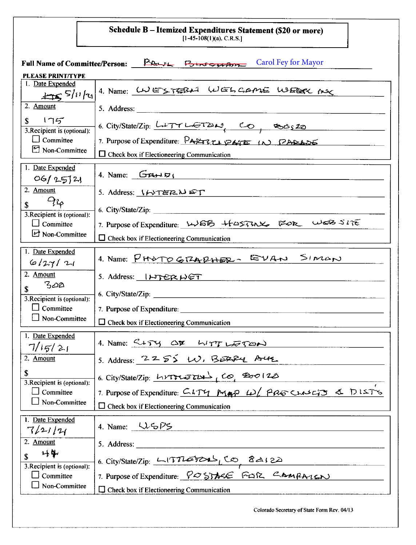Schedule B – Itemized Expenditures Statement (\$20 or more)<br>[1-45-108(1)(a), C.R.S.]

| Full Name of Committee/Person: PA-14 Forms weapon<br><b>Carol Fey for Mayor</b> |                                                                                                       |  |  |  |
|---------------------------------------------------------------------------------|-------------------------------------------------------------------------------------------------------|--|--|--|
| <b>PLEASE PRINT/TYPE</b>                                                        |                                                                                                       |  |  |  |
| 1. Date Expended<br>$\pm 5/11/21$                                               | 4. Name: WESTEBAL WELCAME WEEK MO                                                                     |  |  |  |
| 2. Amount                                                                       |                                                                                                       |  |  |  |
| 175<br>\$<br>3. Recipient is (optional):                                        | 6. City/State/Zip: LITTLET24, CO, 30520                                                               |  |  |  |
| $\Box$ Committee<br>Non-Committee                                               | 7. Purpose of Expenditure: PARTZTI PATE IN PARADE<br>$\Box$ Check box if Electioneering Communication |  |  |  |
|                                                                                 |                                                                                                       |  |  |  |
| 1. Date Expended<br>06/252                                                      | 4. Name: $G_{\text{R}} \cup D_i$<br>and the state of the state of the state of                        |  |  |  |
| 2. Amount<br>$Q_{2\rho}$                                                        | 5. Address: $1477272 \text{ N}$                                                                       |  |  |  |
|                                                                                 | 6. City/State/Zip:                                                                                    |  |  |  |
| 3. Recipient is (optional):<br>$\Box$ Committee                                 | 7. Purpose of Expenditure: WSB +t-05730X KOR WSB SITE                                                 |  |  |  |
| Non-Committee                                                                   | $\Box$ Check box if Electioneering Communication                                                      |  |  |  |
| 1. Date Expended<br>6/27/21                                                     | 4. Name: PHOTOGRAPHER-EVAN SINGN                                                                      |  |  |  |
| 2. Amount<br>$3$ $\alpha$                                                       | 5. Address: INTERNET                                                                                  |  |  |  |
| \$<br>3. Recipient is (optional):                                               | 6. City/State/Zip:                                                                                    |  |  |  |
| $\Box$ Committee                                                                | 7. Purpose of Expenditure:                                                                            |  |  |  |
| $\Box$ Non-Committee                                                            | $\Box$ Check box if Electioneering Communication                                                      |  |  |  |
| 1. Date Expended<br>7/15/21                                                     | 4. Name: CITY COM WITTLETZON                                                                          |  |  |  |
| 2. Amount                                                                       | 5. Address: $2255 W$ , BERRY AUL<br>6. City/State/Zip: $hrTTTETH$ , Co, 200120                        |  |  |  |
| \$<br>3. Recipient is (optional):                                               |                                                                                                       |  |  |  |
| Committee<br>$\blacksquare$<br>Non-Committee                                    | 7. Purpose of Expenditure: CLTY MAP W/ PRE CLASETS & DISTS                                            |  |  |  |
|                                                                                 | $\Box$ Check box if Electioneering Communication                                                      |  |  |  |
| 1. Date Expended<br>7/21/14                                                     | 4. Name: $\bigcup$ $\bigcirc$ $\bigcirc$                                                              |  |  |  |
| 2. Amount                                                                       | 5. Address:                                                                                           |  |  |  |
| 呼集                                                                              |                                                                                                       |  |  |  |
| 3. Recipient is (optional):<br>Committee                                        | 6. City/State/Zip: $L(TILETZAL_LCO \& A122$<br>7. Purpose of Expenditure: $POSTASE$ FCSR CAMPALLEN    |  |  |  |
| Non-Committee                                                                   | $\Box$ Check box if Electioneering Communication                                                      |  |  |  |
|                                                                                 | Colorado Secretary of State Form Rev. 04/13                                                           |  |  |  |